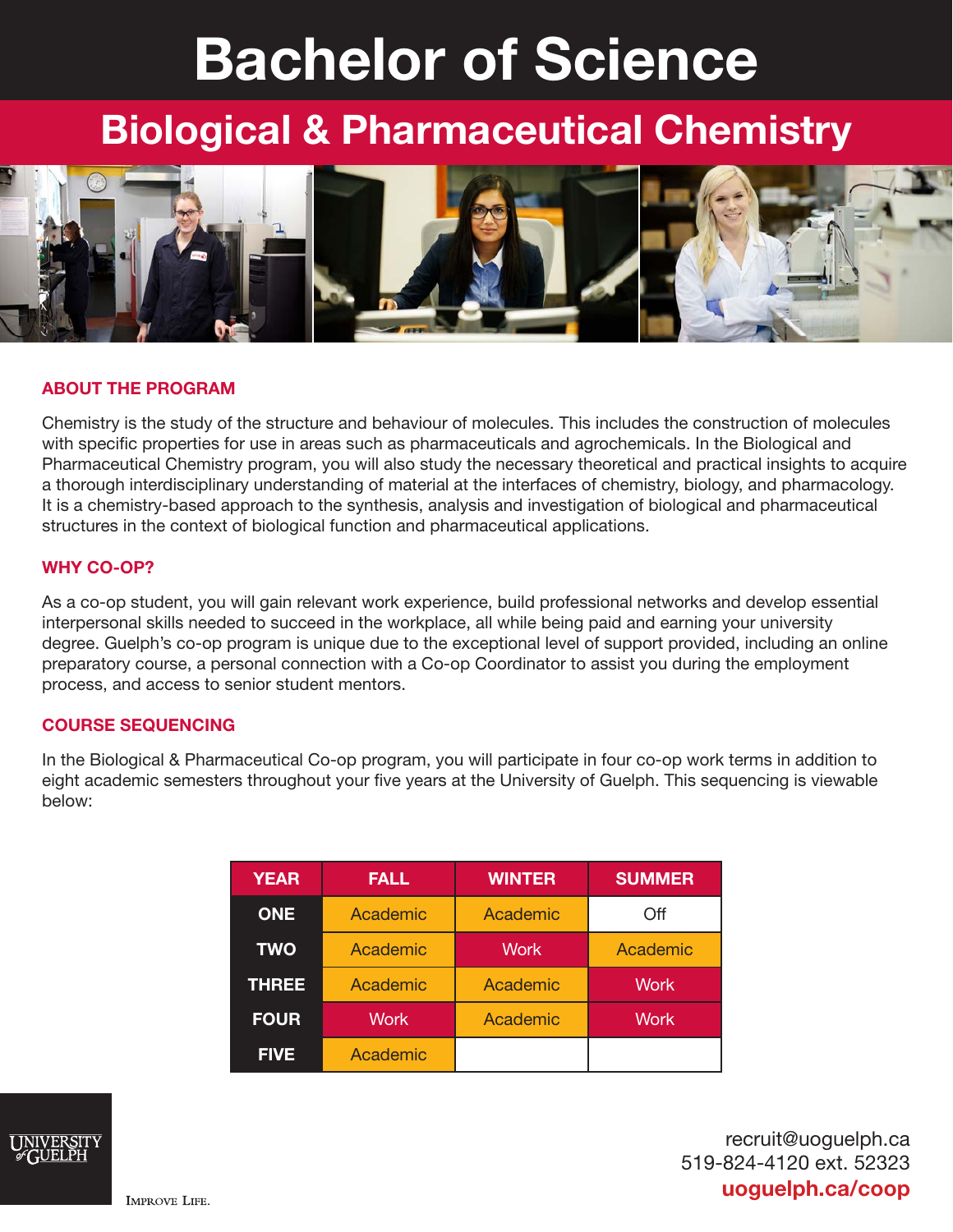# Bachelor of Science

## Biological & Pharmaceutical Chemistry



#### ABOUT THE PROGRAM

Chemistry is the study of the structure and behaviour of molecules. This includes the construction of molecules with specific properties for use in areas such as pharmaceuticals and agrochemicals. In the Biological and Pharmaceutical Chemistry program, you will also study the necessary theoretical and practical insights to acquire a thorough interdisciplinary understanding of material at the interfaces of chemistry, biology, and pharmacology. It is a chemistry-based approach to the synthesis, analysis and investigation of biological and pharmaceutical structures in the context of biological function and pharmaceutical applications.

#### WHY CO-OP?

As a co-op student, you will gain relevant work experience, build professional networks and develop essential interpersonal skills needed to succeed in the workplace, all while being paid and earning your university degree. Guelph's co-op program is unique due to the exceptional level of support provided, including an online preparatory course, a personal connection with a Co-op Coordinator to assist you during the employment process, and access to senior student mentors.

#### COURSE SEQUENCING

In the Biological & Pharmaceutical Co-op program, you will participate in four co-op work terms in addition to eight academic semesters throughout your five years at the University of Guelph. This sequencing is viewable below:

| <b>YEAR</b>  | <b>FALL</b> | <b>WINTER</b> | <b>SUMMER</b> |
|--------------|-------------|---------------|---------------|
| <b>ONE</b>   | Academic    | Academic      | Off           |
| <b>TWO</b>   | Academic    | <b>Work</b>   | Academic      |
| <b>THREE</b> | Academic    | Academic      | <b>Work</b>   |
| <b>FOUR</b>  | <b>Work</b> | Academic      | <b>Work</b>   |
| <b>FIVE</b>  | Academic    |               |               |



recruit@uoguelph.ca 519-824-4120 ext. 52323 uoguelph.ca/coop